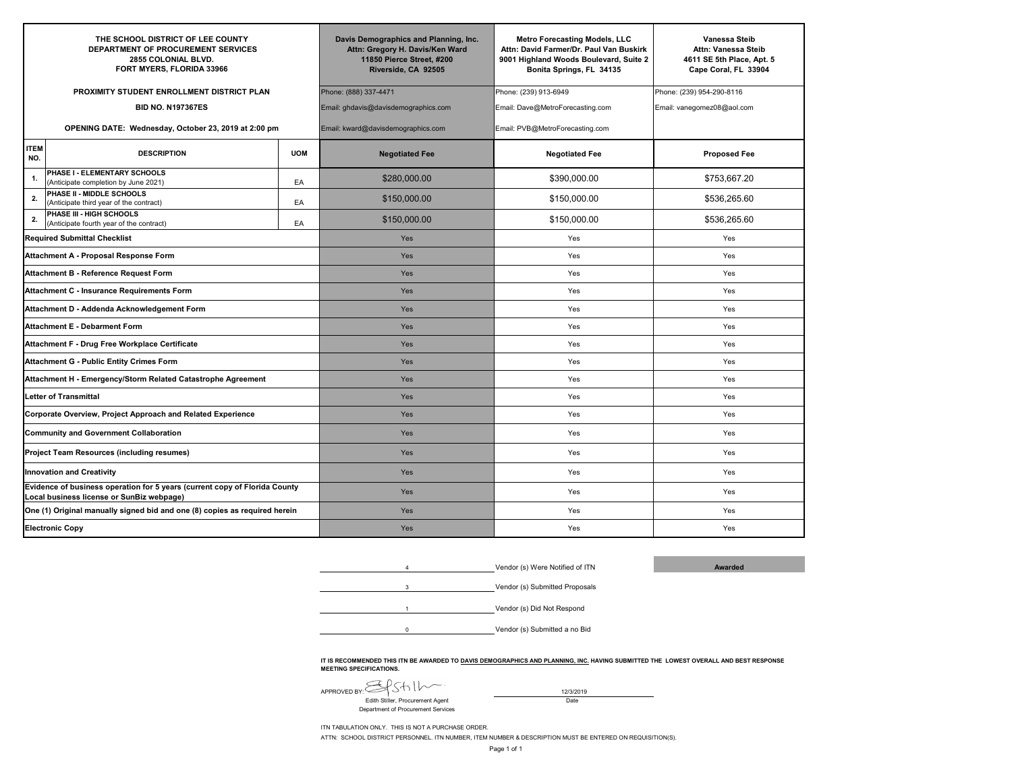| THE SCHOOL DISTRICT OF LEE COUNTY<br>DEPARTMENT OF PROCUREMENT SERVICES<br>2855 COLONIAL BLVD.<br>FORT MYERS, FLORIDA 33966 |                                                                      |                                      | Davis Demographics and Planning, Inc.<br>Attn: Gregory H. Davis/Ken Ward<br>11850 Pierce Street, #200<br>Riverside, CA 92505 | <b>Metro Forecasting Models, LLC</b><br>Attn: David Farmer/Dr. Paul Van Buskirk<br>9001 Highland Woods Boulevard, Suite 2<br>Bonita Springs, FL 34135 | Vanessa Steib<br>Attn: Vanessa Steib<br>4611 SE 5th Place, Apt. 5<br>Cape Coral, FL 33904 |
|-----------------------------------------------------------------------------------------------------------------------------|----------------------------------------------------------------------|--------------------------------------|------------------------------------------------------------------------------------------------------------------------------|-------------------------------------------------------------------------------------------------------------------------------------------------------|-------------------------------------------------------------------------------------------|
|                                                                                                                             | PROXIMITY STUDENT ENROLLMENT DISTRICT PLAN                           |                                      | Phone: (888) 337-4471                                                                                                        | Phone: (239) 913-6949                                                                                                                                 | Phone: (239) 954-290-8116                                                                 |
| <b>BID NO. N197367ES</b>                                                                                                    |                                                                      | Email: ghdavis@davisdemographics.com | Email: Dave@MetroForecasting.com                                                                                             | Email: vanegomez08@aol.com                                                                                                                            |                                                                                           |
| OPENING DATE: Wednesday, October 23, 2019 at 2:00 pm                                                                        |                                                                      | Email: kward@davisdemographics.com   | Email: PVB@MetroForecasting.com                                                                                              |                                                                                                                                                       |                                                                                           |
| <b>ITEM</b><br>NO.                                                                                                          | <b>DESCRIPTION</b>                                                   | <b>UOM</b>                           | <b>Negotiated Fee</b>                                                                                                        | <b>Negotiated Fee</b>                                                                                                                                 | <b>Proposed Fee</b>                                                                       |
| 1.                                                                                                                          | PHASE I - ELEMENTARY SCHOOLS<br>(Anticipate completion by June 2021) | EA                                   | \$280,000,00                                                                                                                 | \$390,000,00                                                                                                                                          | \$753,667.20                                                                              |
| 2.                                                                                                                          | PHASE II - MIDDLE SCHOOLS<br>(Anticipate third year of the contract) | EA                                   | \$150,000.00                                                                                                                 | \$150,000.00                                                                                                                                          | \$536,265.60                                                                              |
| 2.                                                                                                                          | PHASE III - HIGH SCHOOLS<br>(Anticipate fourth year of the contract) | EA                                   | \$150,000.00                                                                                                                 | \$150,000,00                                                                                                                                          | \$536,265.60                                                                              |
| <b>Required Submittal Checklist</b>                                                                                         |                                                                      |                                      | Yes                                                                                                                          | Yes                                                                                                                                                   | Yes                                                                                       |
| Attachment A - Proposal Response Form                                                                                       |                                                                      |                                      | Yes                                                                                                                          | Yes                                                                                                                                                   | Yes                                                                                       |
| <b>Attachment B - Reference Request Form</b>                                                                                |                                                                      |                                      | Yes                                                                                                                          | Yes                                                                                                                                                   | Yes                                                                                       |
| <b>Attachment C - Insurance Requirements Form</b>                                                                           |                                                                      |                                      | <b>Yes</b>                                                                                                                   | Yes                                                                                                                                                   | Yes                                                                                       |
| Attachment D - Addenda Acknowledgement Form                                                                                 |                                                                      |                                      | Yes                                                                                                                          | Yes                                                                                                                                                   | Yes                                                                                       |
| <b>Attachment E - Debarment Form</b>                                                                                        |                                                                      |                                      | Yes                                                                                                                          | Yes                                                                                                                                                   | Yes                                                                                       |
| Attachment F - Drug Free Workplace Certificate                                                                              |                                                                      |                                      | Yes                                                                                                                          | Yes                                                                                                                                                   | Yes                                                                                       |
| <b>Attachment G - Public Entity Crimes Form</b>                                                                             |                                                                      |                                      | Yes                                                                                                                          | Yes                                                                                                                                                   | Yes                                                                                       |
| Attachment H - Emergency/Storm Related Catastrophe Agreement                                                                |                                                                      |                                      | <b>Yes</b>                                                                                                                   | Yes                                                                                                                                                   | Yes                                                                                       |
| <b>Letter of Transmittal</b>                                                                                                |                                                                      |                                      | <b>Yes</b>                                                                                                                   | Yes                                                                                                                                                   | Yes                                                                                       |
| Corporate Overview, Project Approach and Related Experience                                                                 |                                                                      |                                      | <b>Yes</b>                                                                                                                   | Yes                                                                                                                                                   | Yes                                                                                       |
| <b>Community and Government Collaboration</b>                                                                               |                                                                      |                                      | Yes                                                                                                                          | Yes                                                                                                                                                   | Yes                                                                                       |
| <b>Project Team Resources (including resumes)</b>                                                                           |                                                                      |                                      | <b>Yes</b>                                                                                                                   | Yes                                                                                                                                                   | Yes                                                                                       |
| <b>Innovation and Creativity</b>                                                                                            |                                                                      | <b>Yes</b>                           | Yes                                                                                                                          | Yes                                                                                                                                                   |                                                                                           |
| Evidence of business operation for 5 years (current copy of Florida County<br>Local business license or SunBiz webpage)     |                                                                      | Yes                                  | Yes                                                                                                                          | Yes                                                                                                                                                   |                                                                                           |
| One (1) Original manually signed bid and one (8) copies as required herein                                                  |                                                                      | Yes                                  | Yes                                                                                                                          | Yes                                                                                                                                                   |                                                                                           |
| <b>Electronic Copy</b>                                                                                                      |                                                                      |                                      | <b>Yes</b>                                                                                                                   | Yes                                                                                                                                                   | Yes                                                                                       |





0Vendor (s) Submitted a no Bid

IT IS RECOMMENDED THIS ITN BE AWARDED TO <u>DAVIS DEMOGRAPHICS AND PLANNING, INC.</u> HAVING SUBMITTED THE LOWEST OVERALL AND BEST RESPONSE<br>MEETING SPECIFICATIONS.

APPROVED BY:  $\sim$  1  $\sim$  1  $\sim$  1  $\sim$  1  $\sim$  1  $\sim$  1  $\sim$  1  $\sim$  12/3/2019 Edith Stiller, Procurement Agent Date Department of Procurement Services

ITN TABULATION ONLY. THIS IS NOT A PURCHASE ORDER.

ATTN: SCHOOL DISTRICT PERSONNEL. ITN NUMBER, ITEM NUMBER & DESCRIPTION MUST BE ENTERED ON REQUISITION(S).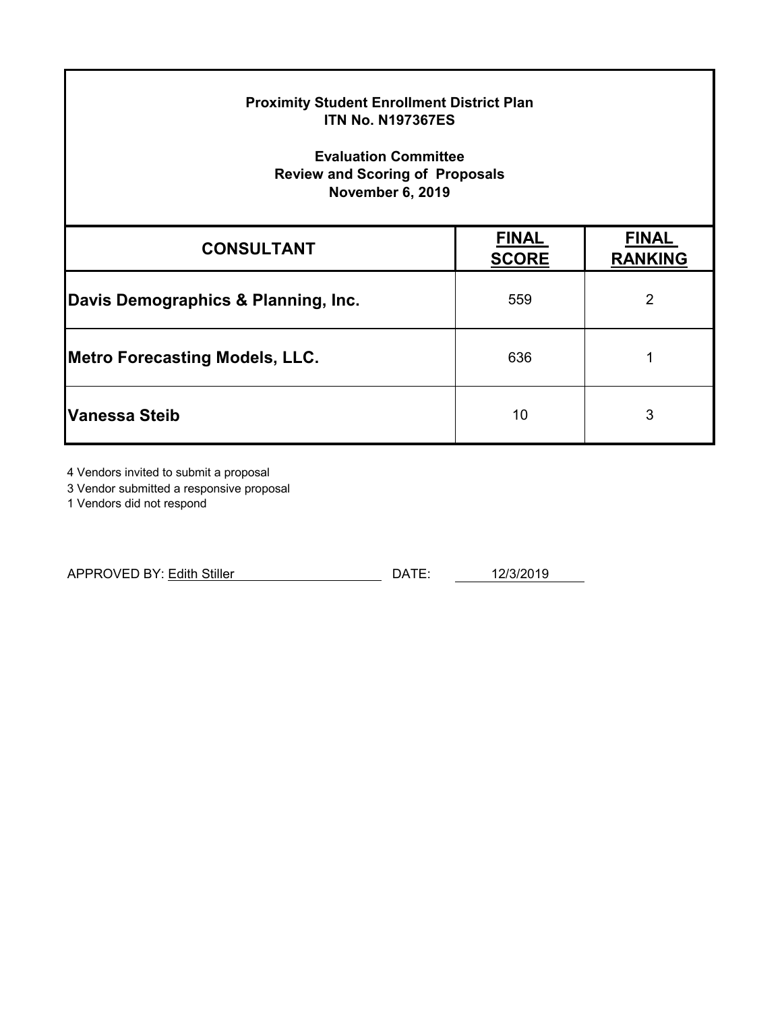| <b>Proximity Student Enrollment District Plan</b><br><b>ITN No. N197367ES</b><br><b>Evaluation Committee</b><br><b>Review and Scoring of Proposals</b><br><b>November 6, 2019</b> |                              |                                |  |  |
|-----------------------------------------------------------------------------------------------------------------------------------------------------------------------------------|------------------------------|--------------------------------|--|--|
| <b>CONSULTANT</b>                                                                                                                                                                 | <b>FINAL</b><br><b>SCORE</b> | <b>FINAL</b><br><b>RANKING</b> |  |  |
| Davis Demographics & Planning, Inc.                                                                                                                                               | 559                          | $\overline{2}$                 |  |  |
| Metro Forecasting Models, LLC.                                                                                                                                                    | 636                          | 1                              |  |  |
| Vanessa Steib                                                                                                                                                                     | 10                           | 3                              |  |  |

4 Vendors invited to submit a proposal

3 Vendor submitted a responsive proposal

1 Vendors did not respond

| <b>APPROVED BY: Edith Stiller</b> | ∩∧⊤⊏ | 101210010<br>יט ט∠/כיי י |
|-----------------------------------|------|--------------------------|
|                                   |      |                          |